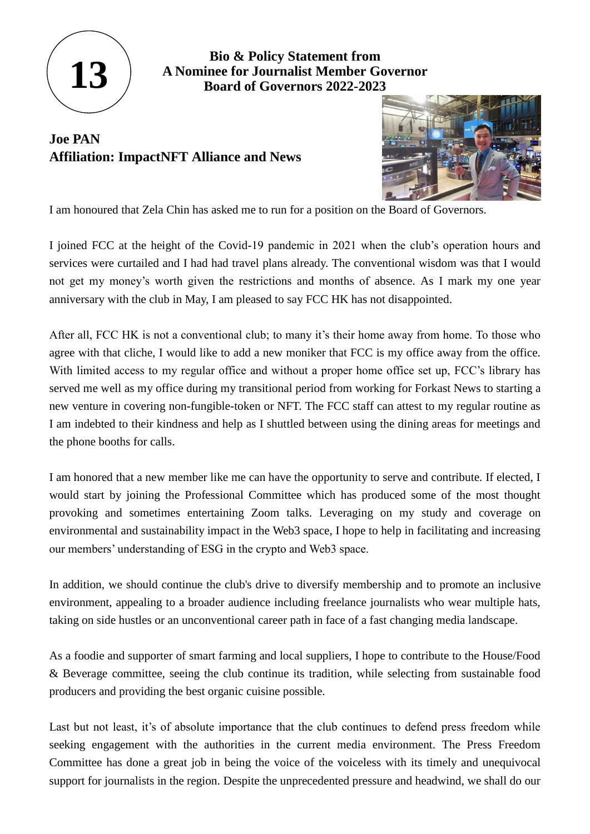

**Bio & Policy Statement from A Nominee for Journalist Member Governor Board of Governors 2022-2023**

## **Joe PAN Affiliation: ImpactNFT Alliance and News**



I am honoured that Zela Chin has asked me to run for a position on the Board of Governors.

I joined FCC at the height of the Covid-19 pandemic in 2021 when the club's operation hours and services were curtailed and I had had travel plans already. The conventional wisdom was that I would not get my money's worth given the restrictions and months of absence. As I mark my one year anniversary with the club in May, I am pleased to say FCC HK has not disappointed.

After all, FCC HK is not a conventional club; to many it's their home away from home. To those who agree with that cliche, I would like to add a new moniker that FCC is my office away from the office. With limited access to my regular office and without a proper home office set up, FCC's library has served me well as my office during my transitional period from working for Forkast News to starting a new venture in covering non-fungible-token or NFT. The FCC staff can attest to my regular routine as I am indebted to their kindness and help as I shuttled between using the dining areas for meetings and the phone booths for calls.

I am honored that a new member like me can have the opportunity to serve and contribute. If elected, I would start by joining the Professional Committee which has produced some of the most thought provoking and sometimes entertaining Zoom talks. Leveraging on my study and coverage on environmental and sustainability impact in the Web3 space, I hope to help in facilitating and increasing our members' understanding of ESG in the crypto and Web3 space.

In addition, we should continue the club's drive to diversify membership and to promote an inclusive environment, appealing to a broader audience including freelance journalists who wear multiple hats, taking on side hustles or an unconventional career path in face of a fast changing media landscape.

As a foodie and supporter of smart farming and local suppliers, I hope to contribute to the House/Food & Beverage committee, seeing the club continue its tradition, while selecting from sustainable food producers and providing the best organic cuisine possible.

Last but not least, it's of absolute importance that the club continues to defend press freedom while seeking engagement with the authorities in the current media environment. The Press Freedom Committee has done a great job in being the voice of the voiceless with its timely and unequivocal support for journalists in the region. Despite the unprecedented pressure and headwind, we shall do our